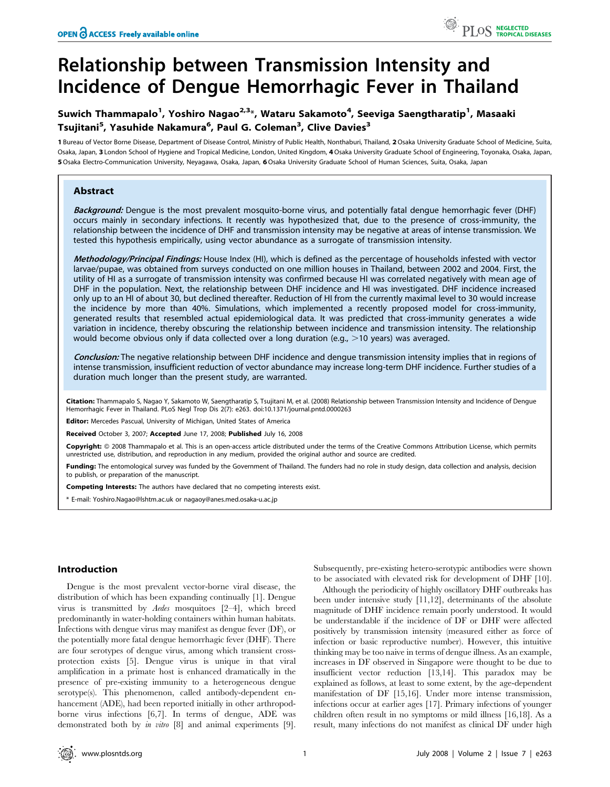# Relationship between Transmission Intensity and Incidence of Dengue Hemorrhagic Fever in Thailand

## Suwich Thammapalo<sup>1</sup>, Yoshiro Nagao<sup>2,3</sup>\*, Wataru Sakamoto<sup>4</sup>, Seeviga Saengtharatip<sup>1</sup>, Masaaki Tsujitani<sup>5</sup>, Yasuhide Nakamura<sup>6</sup>, Paul G. Coleman<sup>3</sup>, Clive Davies<sup>3</sup>

1 Bureau of Vector Borne Disease, Department of Disease Control, Ministry of Public Health, Nonthaburi, Thailand, 2Osaka University Graduate School of Medicine, Suita, Osaka, Japan, 3 London School of Hygiene and Tropical Medicine, London, United Kingdom, 4Osaka University Graduate School of Engineering, Toyonaka, Osaka, Japan, 5Osaka Electro-Communication University, Neyagawa, Osaka, Japan, 6Osaka University Graduate School of Human Sciences, Suita, Osaka, Japan

## Abstract

Background: Dengue is the most prevalent mosquito-borne virus, and potentially fatal dengue hemorrhagic fever (DHF) occurs mainly in secondary infections. It recently was hypothesized that, due to the presence of cross-immunity, the relationship between the incidence of DHF and transmission intensity may be negative at areas of intense transmission. We tested this hypothesis empirically, using vector abundance as a surrogate of transmission intensity.

Methodology/Principal Findings: House Index (HI), which is defined as the percentage of households infested with vector larvae/pupae, was obtained from surveys conducted on one million houses in Thailand, between 2002 and 2004. First, the utility of HI as a surrogate of transmission intensity was confirmed because HI was correlated negatively with mean age of DHF in the population. Next, the relationship between DHF incidence and HI was investigated. DHF incidence increased only up to an HI of about 30, but declined thereafter. Reduction of HI from the currently maximal level to 30 would increase the incidence by more than 40%. Simulations, which implemented a recently proposed model for cross-immunity, generated results that resembled actual epidemiological data. It was predicted that cross-immunity generates a wide variation in incidence, thereby obscuring the relationship between incidence and transmission intensity. The relationship would become obvious only if data collected over a long duration (e.g.,  $>$ 10 years) was averaged.

Conclusion: The negative relationship between DHF incidence and dengue transmission intensity implies that in regions of intense transmission, insufficient reduction of vector abundance may increase long-term DHF incidence. Further studies of a duration much longer than the present study, are warranted.

Citation: Thammapalo S, Nagao Y, Sakamoto W, Saengtharatip S, Tsujitani M, et al. (2008) Relationship between Transmission Intensity and Incidence of Dengue Hemorrhagic Fever in Thailand. PLoS Negl Trop Dis 2(7): e263. doi:10.1371/journal.pntd.0000263

Editor: Mercedes Pascual, University of Michigan, United States of America

Received October 3, 2007; Accepted June 17, 2008; Published July 16, 2008

Copyright: © 2008 Thammapalo et al. This is an open-access article distributed under the terms of the Creative Commons Attribution License, which permits unrestricted use, distribution, and reproduction in any medium, provided the original author and source are credited.

Funding: The entomological survey was funded by the Government of Thailand. The funders had no role in study design, data collection and analysis, decision to publish, or preparation of the manuscript.

Competing Interests: The authors have declared that no competing interests exist.

\* E-mail: Yoshiro.Nagao@lshtm.ac.uk or nagaoy@anes.med.osaka-u.ac.jp

## Introduction

Dengue is the most prevalent vector-borne viral disease, the distribution of which has been expanding continually [1]. Dengue virus is transmitted by Aedes mosquitoes [2–4], which breed predominantly in water-holding containers within human habitats. Infections with dengue virus may manifest as dengue fever (DF), or the potentially more fatal dengue hemorrhagic fever (DHF). There are four serotypes of dengue virus, among which transient crossprotection exists [5]. Dengue virus is unique in that viral amplification in a primate host is enhanced dramatically in the presence of pre-existing immunity to a heterogeneous dengue serotype(s). This phenomenon, called antibody-dependent enhancement (ADE), had been reported initially in other arthropodborne virus infections [6,7]. In terms of dengue, ADE was demonstrated both by *in vitro* [8] and animal experiments [9].

Subsequently, pre-existing hetero-serotypic antibodies were shown to be associated with elevated risk for development of DHF [10].

Although the periodicity of highly oscillatory DHF outbreaks has been under intensive study [11,12], determinants of the absolute magnitude of DHF incidence remain poorly understood. It would be understandable if the incidence of DF or DHF were affected positively by transmission intensity (measured either as force of infection or basic reproductive number). However, this intuitive thinking may be too naive in terms of dengue illness. As an example, increases in DF observed in Singapore were thought to be due to insufficient vector reduction [13,14]. This paradox may be explained as follows, at least to some extent, by the age-dependent manifestation of DF [15,16]. Under more intense transmission, infections occur at earlier ages [17]. Primary infections of younger children often result in no symptoms or mild illness [16,18]. As a result, many infections do not manifest as clinical DF under high

PLOS NEGLECTED<br>PLOS TROPICAL DISEASES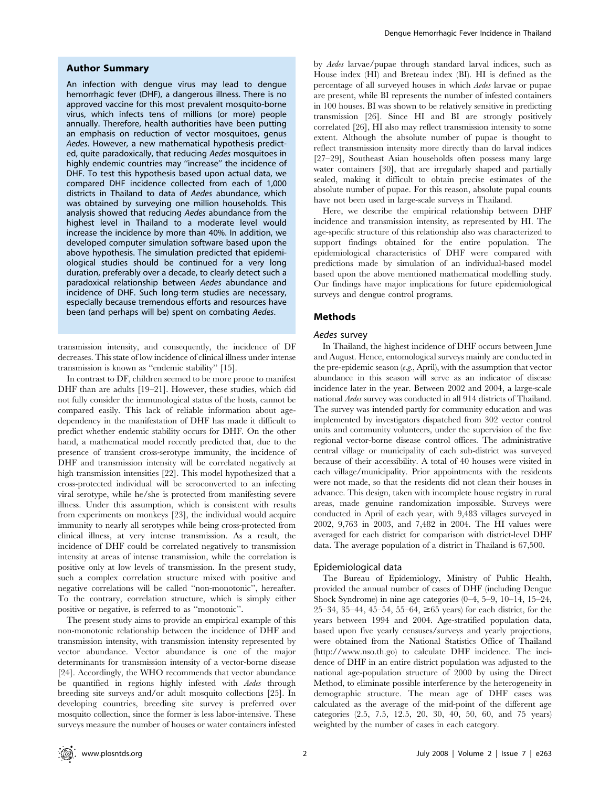### Author Summary

An infection with dengue virus may lead to dengue hemorrhagic fever (DHF), a dangerous illness. There is no approved vaccine for this most prevalent mosquito-borne virus, which infects tens of millions (or more) people annually. Therefore, health authorities have been putting an emphasis on reduction of vector mosquitoes, genus Aedes. However, a new mathematical hypothesis predicted, quite paradoxically, that reducing Aedes mosquitoes in highly endemic countries may ''increase'' the incidence of DHF. To test this hypothesis based upon actual data, we compared DHF incidence collected from each of 1,000 districts in Thailand to data of Aedes abundance, which was obtained by surveying one million households. This analysis showed that reducing Aedes abundance from the highest level in Thailand to a moderate level would increase the incidence by more than 40%. In addition, we developed computer simulation software based upon the above hypothesis. The simulation predicted that epidemiological studies should be continued for a very long duration, preferably over a decade, to clearly detect such a paradoxical relationship between Aedes abundance and incidence of DHF. Such long-term studies are necessary, especially because tremendous efforts and resources have been (and perhaps will be) spent on combating Aedes.

transmission intensity, and consequently, the incidence of DF decreases. This state of low incidence of clinical illness under intense transmission is known as ''endemic stability'' [15].

In contrast to DF, children seemed to be more prone to manifest DHF than are adults [19–21]. However, these studies, which did not fully consider the immunological status of the hosts, cannot be compared easily. This lack of reliable information about agedependency in the manifestation of DHF has made it difficult to predict whether endemic stability occurs for DHF. On the other hand, a mathematical model recently predicted that, due to the presence of transient cross-serotype immunity, the incidence of DHF and transmission intensity will be correlated negatively at high transmission intensities [22]. This model hypothesized that a cross-protected individual will be seroconverted to an infecting viral serotype, while he/she is protected from manifesting severe illness. Under this assumption, which is consistent with results from experiments on monkeys [23], the individual would acquire immunity to nearly all serotypes while being cross-protected from clinical illness, at very intense transmission. As a result, the incidence of DHF could be correlated negatively to transmission intensity at areas of intense transmission, while the correlation is positive only at low levels of transmission. In the present study, such a complex correlation structure mixed with positive and negative correlations will be called ''non-monotonic'', hereafter. To the contrary, correlation structure, which is simply either positive or negative, is referred to as ''monotonic''.

The present study aims to provide an empirical example of this non-monotonic relationship between the incidence of DHF and transmission intensity, with transmission intensity represented by vector abundance. Vector abundance is one of the major determinants for transmission intensity of a vector-borne disease [24]. Accordingly, the WHO recommends that vector abundance be quantified in regions highly infested with Aedes through breeding site surveys and/or adult mosquito collections [25]. In developing countries, breeding site survey is preferred over mosquito collection, since the former is less labor-intensive. These surveys measure the number of houses or water containers infested by Aedes larvae/pupae through standard larval indices, such as House index (HI) and Breteau index (BI). HI is defined as the percentage of all surveyed houses in which Aedes larvae or pupae are present, while BI represents the number of infested containers in 100 houses. BI was shown to be relatively sensitive in predicting transmission [26]. Since HI and BI are strongly positively correlated [26], HI also may reflect transmission intensity to some extent. Although the absolute number of pupae is thought to reflect transmission intensity more directly than do larval indices [27–29], Southeast Asian households often possess many large water containers [30], that are irregularly shaped and partially sealed, making it difficult to obtain precise estimates of the absolute number of pupae. For this reason, absolute pupal counts have not been used in large-scale surveys in Thailand.

Here, we describe the empirical relationship between DHF incidence and transmission intensity, as represented by HI. The age-specific structure of this relationship also was characterized to support findings obtained for the entire population. The epidemiological characteristics of DHF were compared with predictions made by simulation of an individual-based model based upon the above mentioned mathematical modelling study. Our findings have major implications for future epidemiological surveys and dengue control programs.

### Methods

## Aedes survey

In Thailand, the highest incidence of DHF occurs between June and August. Hence, entomological surveys mainly are conducted in the pre-epidemic season  $(e.g.,$  April), with the assumption that vector abundance in this season will serve as an indicator of disease incidence later in the year. Between 2002 and 2004, a large-scale national Aedes survey was conducted in all 914 districts of Thailand. The survey was intended partly for community education and was implemented by investigators dispatched from 302 vector control units and community volunteers, under the supervision of the five regional vector-borne disease control offices. The administrative central village or municipality of each sub-district was surveyed because of their accessibility. A total of 40 houses were visited in each village/municipality. Prior appointments with the residents were not made, so that the residents did not clean their houses in advance. This design, taken with incomplete house registry in rural areas, made genuine randomization impossible. Surveys were conducted in April of each year, with 9,483 villages surveyed in 2002, 9,763 in 2003, and 7,482 in 2004. The HI values were averaged for each district for comparison with district-level DHF data. The average population of a district in Thailand is 67,500.

#### Epidemiological data

The Bureau of Epidemiology, Ministry of Public Health, provided the annual number of cases of DHF (including Dengue Shock Syndrome) in nine age categories (0–4, 5–9, 10–14, 15–24, 25–34, 35–44, 45–54, 55–64,  $\geq 65$  years) for each district, for the years between 1994 and 2004. Age-stratified population data, based upon five yearly censuses/surveys and yearly projections, were obtained from the National Statistics Office of Thailand (http://www.nso.th.go) to calculate DHF incidence. The incidence of DHF in an entire district population was adjusted to the national age-population structure of 2000 by using the Direct Method, to eliminate possible interference by the heterogeneity in demographic structure. The mean age of DHF cases was calculated as the average of the mid-point of the different age categories (2.5, 7.5, 12.5, 20, 30, 40, 50, 60, and 75 years) weighted by the number of cases in each category.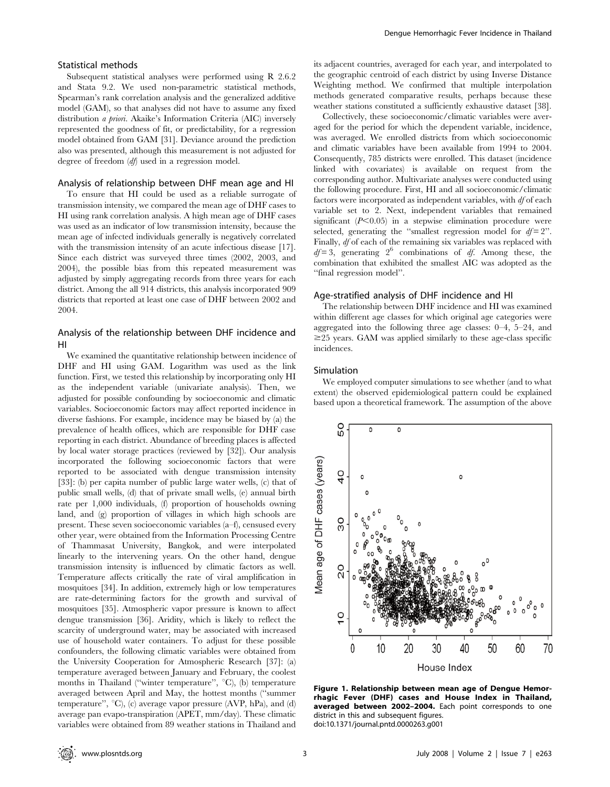## Statistical methods

Subsequent statistical analyses were performed using R 2.6.2 and Stata 9.2. We used non-parametric statistical methods, Spearman's rank correlation analysis and the generalized additive model (GAM), so that analyses did not have to assume any fixed distribution a priori. Akaike's Information Criteria (AIC) inversely represented the goodness of fit, or predictability, for a regression model obtained from GAM [31]. Deviance around the prediction also was presented, although this measurement is not adjusted for degree of freedom  $(df)$  used in a regression model.

## Analysis of relationship between DHF mean age and HI

To ensure that HI could be used as a reliable surrogate of transmission intensity, we compared the mean age of DHF cases to HI using rank correlation analysis. A high mean age of DHF cases was used as an indicator of low transmission intensity, because the mean age of infected individuals generally is negatively correlated with the transmission intensity of an acute infectious disease [17]. Since each district was surveyed three times (2002, 2003, and 2004), the possible bias from this repeated measurement was adjusted by simply aggregating records from three years for each district. Among the all 914 districts, this analysis incorporated 909 districts that reported at least one case of DHF between 2002 and 2004.

## Analysis of the relationship between DHF incidence and HI

We examined the quantitative relationship between incidence of DHF and HI using GAM. Logarithm was used as the link function. First, we tested this relationship by incorporating only HI as the independent variable (univariate analysis). Then, we adjusted for possible confounding by socioeconomic and climatic variables. Socioeconomic factors may affect reported incidence in diverse fashions. For example, incidence may be biased by (a) the prevalence of health offices, which are responsible for DHF case reporting in each district. Abundance of breeding places is affected by local water storage practices (reviewed by [32]). Our analysis incorporated the following socioeconomic factors that were reported to be associated with dengue transmission intensity [33]: (b) per capita number of public large water wells, (c) that of public small wells, (d) that of private small wells, (e) annual birth rate per 1,000 individuals, (f) proportion of households owning land, and (g) proportion of villages in which high schools are present. These seven socioeconomic variables (a–f), censused every other year, were obtained from the Information Processing Centre of Thammasat University, Bangkok, and were interpolated linearly to the intervening years. On the other hand, dengue transmission intensity is influenced by climatic factors as well. Temperature affects critically the rate of viral amplification in mosquitoes [34]. In addition, extremely high or low temperatures are rate-determining factors for the growth and survival of mosquitoes [35]. Atmospheric vapor pressure is known to affect dengue transmission [36]. Aridity, which is likely to reflect the scarcity of underground water, may be associated with increased use of household water containers. To adjust for these possible confounders, the following climatic variables were obtained from the University Cooperation for Atmospheric Research [37]: (a) temperature averaged between January and February, the coolest months in Thailand ("winter temperature", °C), (b) temperature averaged between April and May, the hottest months (''summer temperature",  $°C$ ), (c) average vapor pressure (AVP, hPa), and (d) average pan evapo-transpiration (APET, mm/day). These climatic variables were obtained from 89 weather stations in Thailand and its adjacent countries, averaged for each year, and interpolated to the geographic centroid of each district by using Inverse Distance Weighting method. We confirmed that multiple interpolation methods generated comparative results, perhaps because these weather stations constituted a sufficiently exhaustive dataset [38].

Collectively, these socioeconomic/climatic variables were averaged for the period for which the dependent variable, incidence, was averaged. We enrolled districts from which socioeconomic and climatic variables have been available from 1994 to 2004. Consequently, 785 districts were enrolled. This dataset (incidence linked with covariates) is available on request from the corresponding author. Multivariate analyses were conducted using the following procedure. First, HI and all socioeconomic/climatic factors were incorporated as independent variables, with  $df$  of each variable set to 2. Next, independent variables that remained significant  $(P<0.05)$  in a stepwise elimination procedure were selected, generating the "smallest regression model for  $df = 2$ ". Finally, df of each of the remaining six variables was replaced with  $df = 3$ , generating  $2^6$  combinations of df. Among these, the combination that exhibited the smallest AIC was adopted as the ''final regression model''.

#### Age-stratified analysis of DHF incidence and HI

The relationship between DHF incidence and HI was examined within different age classes for which original age categories were aggregated into the following three age classes: 0–4, 5–24, and  $\geq$ 25 years. GAM was applied similarly to these age-class specific incidences.

## Simulation

We employed computer simulations to see whether (and to what extent) the observed epidemiological pattern could be explained based upon a theoretical framework. The assumption of the above



Figure 1. Relationship between mean age of Dengue Hemorrhagic Fever (DHF) cases and House Index in Thailand, averaged between 2002–2004. Each point corresponds to one district in this and subsequent figures. doi:10.1371/journal.pntd.0000263.g001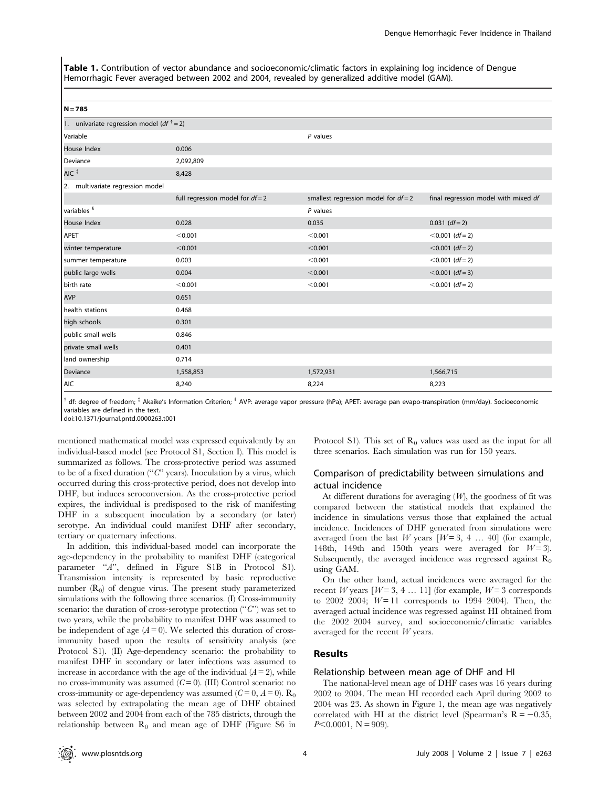Table 1. Contribution of vector abundance and socioeconomic/climatic factors in explaining log incidence of Dengue Hemorrhagic Fever averaged between 2002 and 2004, revealed by generalized additive model (GAM).

| $\sim$<br>M<br>۰. |
|-------------------|
|-------------------|

| 1. univariate regression model ( $df^{\dagger} = 2$ ) |                                    |                                        |                                      |
|-------------------------------------------------------|------------------------------------|----------------------------------------|--------------------------------------|
| Variable                                              |                                    | $P$ values                             |                                      |
| House Index                                           | 0.006                              |                                        |                                      |
| Deviance                                              | 2,092,809                          |                                        |                                      |
| AIC <sup>#</sup>                                      | 8,428                              |                                        |                                      |
| 2. multivariate regression model                      |                                    |                                        |                                      |
|                                                       | full regression model for $df = 2$ | smallest regression model for $df = 2$ | final regression model with mixed df |
| variables <sup>§</sup>                                |                                    | $P$ values                             |                                      |
| House Index                                           | 0.028                              | 0.035                                  | $0.031$ (df = 2)                     |
| APET                                                  | < 0.001                            | < 0.001                                | $< 0.001$ (df = 2)                   |
| winter temperature                                    | < 0.001                            | < 0.001                                | $< 0.001$ (df = 2)                   |
| summer temperature                                    | 0.003                              | < 0.001                                | $< 0.001$ (df = 2)                   |
| public large wells                                    | 0.004                              | < 0.001                                | $< 0.001$ (df = 3)                   |
| birth rate                                            | < 0.001                            | < 0.001                                | $< 0.001$ (df = 2)                   |
| <b>AVP</b>                                            | 0.651                              |                                        |                                      |
| health stations                                       | 0.468                              |                                        |                                      |
| high schools                                          | 0.301                              |                                        |                                      |
| public small wells                                    | 0.846                              |                                        |                                      |
| private small wells                                   | 0.401                              |                                        |                                      |
| land ownership                                        | 0.714                              |                                        |                                      |
| Deviance                                              | 1,558,853                          | 1,572,931                              | 1,566,715                            |
| <b>AIC</b>                                            | 8,240                              | 8,224                                  | 8,223                                |

 $^{\dagger}$  df: degree of freedom;  $^{\ddagger}$  Akaike's Information Criterion;  $^{\textrm{\text{S}}}$  AVP: average vapor pressure (hPa); APET: average pan evapo-transpiration (mm/day). Socioeconomic variables are defined in the text.

doi:10.1371/journal.pntd.0000263.t001

mentioned mathematical model was expressed equivalently by an individual-based model (see Protocol S1, Section I). This model is summarized as follows. The cross-protective period was assumed to be of a fixed duration (" $C$ " years). Inoculation by a virus, which occurred during this cross-protective period, does not develop into DHF, but induces seroconversion. As the cross-protective period expires, the individual is predisposed to the risk of manifesting DHF in a subsequent inoculation by a secondary (or later) serotype. An individual could manifest DHF after secondary, tertiary or quaternary infections.

In addition, this individual-based model can incorporate the age-dependency in the probability to manifest DHF (categorical parameter "A", defined in Figure S1B in Protocol S1). Transmission intensity is represented by basic reproductive number  $(R_0)$  of dengue virus. The present study parameterized simulations with the following three scenarios. (I) Cross-immunity scenario: the duration of cross-serotype protection (" $C$ ") was set to two years, while the probability to manifest DHF was assumed to be independent of age  $(A=0)$ . We selected this duration of crossimmunity based upon the results of sensitivity analysis (see Protocol S1). (II) Age-dependency scenario: the probability to manifest DHF in secondary or later infections was assumed to increase in accordance with the age of the individual  $(A = 2)$ , while no cross-immunity was assumed  $(C=0)$ . (III) Control scenario: no cross-immunity or age-dependency was assumed  $(C=0, A=0)$ . R<sub>0</sub> was selected by extrapolating the mean age of DHF obtained between 2002 and 2004 from each of the 785 districts, through the relationship between  $R_0$  and mean age of DHF (Figure S6 in

Protocol S1). This set of  $R_0$  values was used as the input for all three scenarios. Each simulation was run for 150 years.

## Comparison of predictability between simulations and actual incidence

At different durations for averaging  $(W)$ , the goodness of fit was compared between the statistical models that explained the incidence in simulations versus those that explained the actual incidence. Incidences of DHF generated from simulations were averaged from the last W years  $[W=3, 4 \dots 40]$  (for example, 148th, 149th and 150th years were averaged for  $W = 3$ ). Subsequently, the averaged incidence was regressed against  $R_0$ using GAM.

On the other hand, actual incidences were averaged for the recent W years  $[W=3, 4, \ldots, 11]$  (for example,  $W=3$  corresponds to 2002–2004;  $W = 11$  corresponds to 1994–2004). Then, the averaged actual incidence was regressed against HI obtained from the 2002–2004 survey, and socioeconomic/climatic variables averaged for the recent W years.

## Results

## Relationship between mean age of DHF and HI

The national-level mean age of DHF cases was 16 years during 2002 to 2004. The mean HI recorded each April during 2002 to 2004 was 23. As shown in Figure 1, the mean age was negatively correlated with HI at the district level (Spearman's  $R = -0.35$ ,  $P<0.0001$ , N = 909).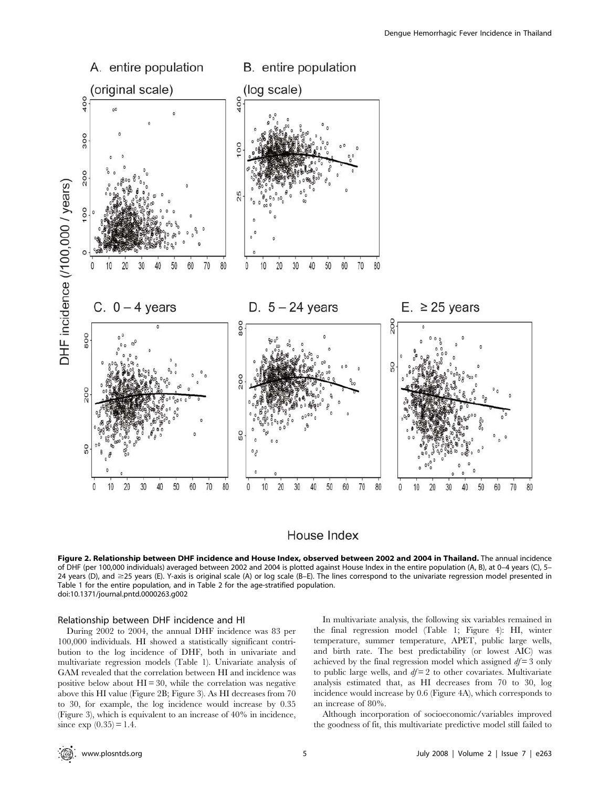

## House Index

Figure 2. Relationship between DHF incidence and House Index, observed between 2002 and 2004 in Thailand. The annual incidence of DHF (per 100,000 individuals) averaged between 2002 and 2004 is plotted against House Index in the entire population (A, B), at 0–4 years (C), 5– 24 years (D), and  $\geq$ 25 years (E). Y-axis is original scale (A) or log scale (B–E). The lines correspond to the univariate regression model presented in Table 1 for the entire population, and in Table 2 for the age-stratified population. doi:10.1371/journal.pntd.0000263.g002

#### Relationship between DHF incidence and HI

During 2002 to 2004, the annual DHF incidence was 83 per 100,000 individuals. HI showed a statistically significant contribution to the log incidence of DHF, both in univariate and multivariate regression models (Table 1). Univariate analysis of GAM revealed that the correlation between HI and incidence was positive below about  $HI = 30$ , while the correlation was negative above this HI value (Figure 2B; Figure 3). As HI decreases from 70 to 30, for example, the log incidence would increase by 0.35 (Figure 3), which is equivalent to an increase of 40% in incidence, since  $\exp(0.35) = 1.4$ .

In multivariate analysis, the following six variables remained in the final regression model (Table 1; Figure 4): HI, winter temperature, summer temperature, APET, public large wells, and birth rate. The best predictability (or lowest AIC) was achieved by the final regression model which assigned  $df = 3$  only to public large wells, and  $df = 2$  to other covariates. Multivariate analysis estimated that, as HI decreases from 70 to 30, log incidence would increase by 0.6 (Figure 4A), which corresponds to an increase of 80%.

Although incorporation of socioeconomic/variables improved the goodness of fit, this multivariate predictive model still failed to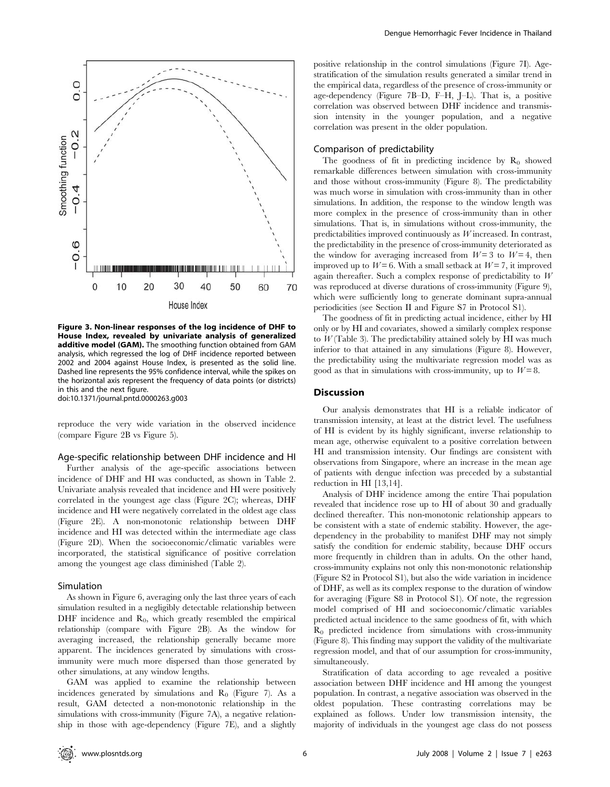

Figure 3. Non-linear responses of the log incidence of DHF to House Index, revealed by univariate analysis of generalized additive model (GAM). The smoothing function obtained from GAM analysis, which regressed the log of DHF incidence reported between 2002 and 2004 against House Index, is presented as the solid line. Dashed line represents the 95% confidence interval, while the spikes on the horizontal axis represent the frequency of data points (or districts) in this and the next figure. doi:10.1371/journal.pntd.0000263.g003

reproduce the very wide variation in the observed incidence (compare Figure 2B vs Figure 5).

## Age-specific relationship between DHF incidence and HI

Further analysis of the age-specific associations between incidence of DHF and HI was conducted, as shown in Table 2. Univariate analysis revealed that incidence and HI were positively correlated in the youngest age class (Figure 2C); whereas, DHF incidence and HI were negatively correlated in the oldest age class (Figure 2E). A non-monotonic relationship between DHF incidence and HI was detected within the intermediate age class (Figure 2D). When the socioeconomic/climatic variables were incorporated, the statistical significance of positive correlation among the youngest age class diminished (Table 2).

#### Simulation

As shown in Figure 6, averaging only the last three years of each simulation resulted in a negligibly detectable relationship between DHF incidence and  $R_0$ , which greatly resembled the empirical relationship (compare with Figure 2B). As the window for averaging increased, the relationship generally became more apparent. The incidences generated by simulations with crossimmunity were much more dispersed than those generated by other simulations, at any window lengths.

GAM was applied to examine the relationship between incidences generated by simulations and  $R_0$  (Figure 7). As a result, GAM detected a non-monotonic relationship in the simulations with cross-immunity (Figure 7A), a negative relationship in those with age-dependency (Figure 7E), and a slightly positive relationship in the control simulations (Figure 7I). Agestratification of the simulation results generated a similar trend in the empirical data, regardless of the presence of cross-immunity or age-dependency (Figure 7B–D, F–H, J–L). That is, a positive correlation was observed between DHF incidence and transmission intensity in the younger population, and a negative correlation was present in the older population.

#### Comparison of predictability

The goodness of fit in predicting incidence by  $R_0$  showed remarkable differences between simulation with cross-immunity and those without cross-immunity (Figure 8). The predictability was much worse in simulation with cross-immunity than in other simulations. In addition, the response to the window length was more complex in the presence of cross-immunity than in other simulations. That is, in simulations without cross-immunity, the predictabilities improved continuously as W increased. In contrast, the predictability in the presence of cross-immunity deteriorated as the window for averaging increased from  $W=3$  to  $W=4$ , then improved up to  $W=6$ . With a small setback at  $W=7$ , it improved again thereafter. Such a complex response of predictability to  $W$ was reproduced at diverse durations of cross-immunity (Figure 9), which were sufficiently long to generate dominant supra-annual periodicities (see Section II and Figure S7 in Protocol S1).

The goodness of fit in predicting actual incidence, either by HI only or by HI and covariates, showed a similarly complex response to  $W$  (Table 3). The predictability attained solely by HI was much inferior to that attained in any simulations (Figure 8). However, the predictability using the multivariate regression model was as good as that in simulations with cross-immunity, up to  $W=8$ .

#### **Discussion**

Our analysis demonstrates that HI is a reliable indicator of transmission intensity, at least at the district level. The usefulness of HI is evident by its highly significant, inverse relationship to mean age, otherwise equivalent to a positive correlation between HI and transmission intensity. Our findings are consistent with observations from Singapore, where an increase in the mean age of patients with dengue infection was preceded by a substantial reduction in HI [13,14].

Analysis of DHF incidence among the entire Thai population revealed that incidence rose up to HI of about 30 and gradually declined thereafter. This non-monotonic relationship appears to be consistent with a state of endemic stability. However, the agedependency in the probability to manifest DHF may not simply satisfy the condition for endemic stability, because DHF occurs more frequently in children than in adults. On the other hand, cross-immunity explains not only this non-monotonic relationship (Figure S2 in Protocol S1), but also the wide variation in incidence of DHF, as well as its complex response to the duration of window for averaging (Figure S8 in Protocol S1). Of note, the regression model comprised of HI and socioeconomic/climatic variables predicted actual incidence to the same goodness of fit, with which  $R_0$  predicted incidence from simulations with cross-immunity (Figure 8). This finding may support the validity of the multivariate regression model, and that of our assumption for cross-immunity, simultaneously.

Stratification of data according to age revealed a positive association between DHF incidence and HI among the youngest population. In contrast, a negative association was observed in the oldest population. These contrasting correlations may be explained as follows. Under low transmission intensity, the majority of individuals in the youngest age class do not possess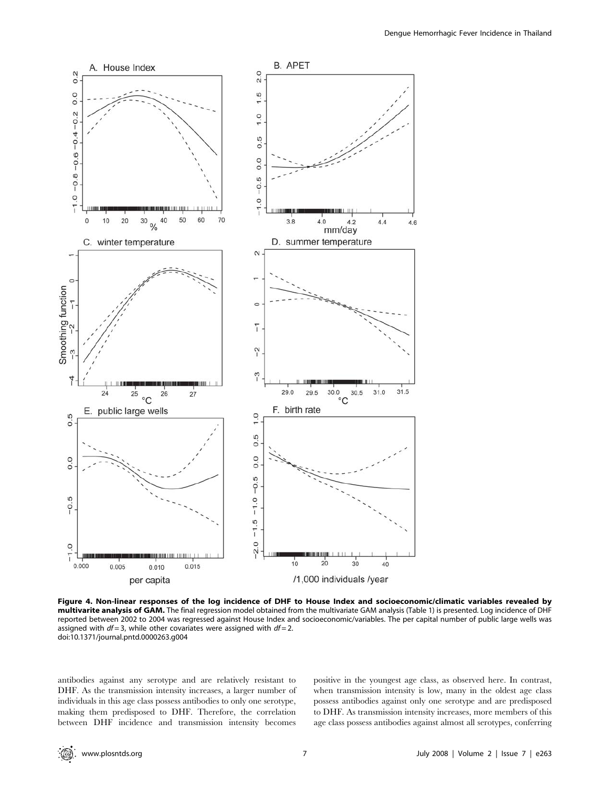

Figure 4. Non-linear responses of the log incidence of DHF to House Index and socioeconomic/climatic variables revealed by multivarite analysis of GAM. The final regression model obtained from the multivariate GAM analysis (Table 1) is presented. Log incidence of DHF reported between 2002 to 2004 was regressed against House Index and socioeconomic/variables. The per capital number of public large wells was assigned with  $df = 3$ , while other covariates were assigned with  $df = 2$ . doi:10.1371/journal.pntd.0000263.g004

antibodies against any serotype and are relatively resistant to DHF. As the transmission intensity increases, a larger number of individuals in this age class possess antibodies to only one serotype, making them predisposed to DHF. Therefore, the correlation between DHF incidence and transmission intensity becomes positive in the youngest age class, as observed here. In contrast, when transmission intensity is low, many in the oldest age class possess antibodies against only one serotype and are predisposed to DHF. As transmission intensity increases, more members of this age class possess antibodies against almost all serotypes, conferring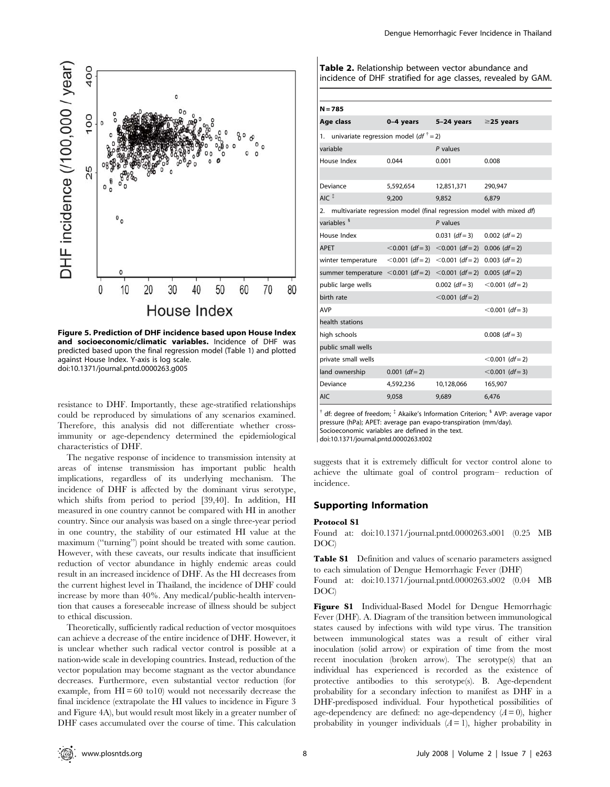

Figure 5. Prediction of DHF incidence based upon House Index and socioeconomic/climatic variables. Incidence of DHF was predicted based upon the final regression model (Table 1) and plotted against House Index. Y-axis is log scale. doi:10.1371/journal.pntd.0000263.g005

resistance to DHF. Importantly, these age-stratified relationships could be reproduced by simulations of any scenarios examined. Therefore, this analysis did not differentiate whether crossimmunity or age-dependency determined the epidemiological characteristics of DHF.

The negative response of incidence to transmission intensity at areas of intense transmission has important public health implications, regardless of its underlying mechanism. The incidence of DHF is affected by the dominant virus serotype, which shifts from period to period [39,40]. In addition, HI measured in one country cannot be compared with HI in another country. Since our analysis was based on a single three-year period in one country, the stability of our estimated HI value at the maximum (''turning'') point should be treated with some caution. However, with these caveats, our results indicate that insufficient reduction of vector abundance in highly endemic areas could result in an increased incidence of DHF. As the HI decreases from the current highest level in Thailand, the incidence of DHF could increase by more than 40%. Any medical/public-health intervention that causes a foreseeable increase of illness should be subject to ethical discussion.

Theoretically, sufficiently radical reduction of vector mosquitoes can achieve a decrease of the entire incidence of DHF. However, it is unclear whether such radical vector control is possible at a nation-wide scale in developing countries. Instead, reduction of the vector population may become stagnant as the vector abundance decreases. Furthermore, even substantial vector reduction (for example, from  $HI = 60$  to10) would not necessarily decrease the final incidence (extrapolate the HI values to incidence in Figure 3 and Figure 4A), but would result most likely in a greater number of DHF cases accumulated over the course of time. This calculation Table 2. Relationship between vector abundance and incidence of DHF stratified for age classes, revealed by GAM.

| $-$ |  |
|-----|--|
|-----|--|

| 14 = 783                                                                        |                  |                                                      |                    |  |  |  |  |  |
|---------------------------------------------------------------------------------|------------------|------------------------------------------------------|--------------------|--|--|--|--|--|
| Age class                                                                       | 0-4 years        | 5-24 years ≥25 years                                 |                    |  |  |  |  |  |
| univariate regression model (df $\dagger$ = 2)<br>1.                            |                  |                                                      |                    |  |  |  |  |  |
| variable                                                                        |                  | $P$ values                                           |                    |  |  |  |  |  |
| House Index                                                                     | 0.044            | 0.001                                                | 0.008              |  |  |  |  |  |
|                                                                                 |                  |                                                      |                    |  |  |  |  |  |
| Deviance                                                                        | 5,592,654        | 12,851,371                                           | 290,947            |  |  |  |  |  |
| $AIC$ <sup><math>#</math></sup>                                                 | 9,200            | 9,852                                                | 6,879              |  |  |  |  |  |
| multivariate regression model (final regression model with mixed df)<br>2.      |                  |                                                      |                    |  |  |  |  |  |
| variables <sup>§</sup>                                                          |                  | $P$ values                                           |                    |  |  |  |  |  |
| House Index                                                                     |                  | $0.031$ (df = 3)                                     | $0.002$ (df = 2)   |  |  |  |  |  |
| <b>APET</b>                                                                     |                  | $< 0.001$ (df = 3) $< 0.001$ (df = 2) 0.006 (df = 2) |                    |  |  |  |  |  |
| winter temperature                                                              |                  | $< 0.001$ (df = 2) $< 0.001$ (df = 2) 0.003 (df = 2) |                    |  |  |  |  |  |
| summer temperature < 0.001 ( $df = 2$ ) < 0.001 ( $df = 2$ ) 0.005 ( $df = 2$ ) |                  |                                                      |                    |  |  |  |  |  |
| public large wells                                                              |                  | $0.002$ (df = 3)                                     | $< 0.001$ (df = 2) |  |  |  |  |  |
| birth rate                                                                      |                  | $< 0.001$ (df = 2)                                   |                    |  |  |  |  |  |
| <b>AVP</b>                                                                      |                  |                                                      | $< 0.001$ (df = 3) |  |  |  |  |  |
| health stations                                                                 |                  |                                                      |                    |  |  |  |  |  |
| high schools                                                                    |                  |                                                      | $0.008$ (df = 3)   |  |  |  |  |  |
| public small wells                                                              |                  |                                                      |                    |  |  |  |  |  |
| private small wells                                                             |                  |                                                      | $< 0.001$ (df = 2) |  |  |  |  |  |
| land ownership                                                                  | $0.001$ (df = 2) |                                                      | $< 0.001$ (df = 3) |  |  |  |  |  |
| Deviance                                                                        | 4,592,236        | 10,128,066                                           | 165,907            |  |  |  |  |  |
| <b>AIC</b>                                                                      | 9,058            | 9,689                                                | 6,476              |  |  |  |  |  |

 $^{\dagger}$  df: degree of freedom;  $^{\ddagger}$  Akaike's Information Criterion;  $^{\mathsf{s}}$  AVP: average vapor pressure (hPa); APET: average pan evapo-transpiration (mm/day). Socioeconomic variables are defined in the text. doi:10.1371/journal.pntd.0000263.t002

suggests that it is extremely difficult for vector control alone to achieve the ultimate goal of control program– reduction of incidence.

#### Supporting Information

#### Protocol S1

Found at: doi:10.1371/journal.pntd.0000263.s001 (0.25 MB DOC)

Table S1 Definition and values of scenario parameters assigned to each simulation of Dengue Hemorrhagic Fever (DHF)

Found at: doi:10.1371/journal.pntd.0000263.s002 (0.04 MB DOC)

Figure S1 Individual-Based Model for Dengue Hemorrhagic Fever (DHF). A. Diagram of the transition between immunological states caused by infections with wild type virus. The transition between immunological states was a result of either viral inoculation (solid arrow) or expiration of time from the most recent inoculation (broken arrow). The serotype(s) that an individual has experienced is recorded as the existence of protective antibodies to this serotype(s). B. Age-dependent probability for a secondary infection to manifest as DHF in a DHF-predisposed individual. Four hypothetical possibilities of age-dependency are defined: no age-dependency  $(A=0)$ , higher probability in younger individuals  $(A = 1)$ , higher probability in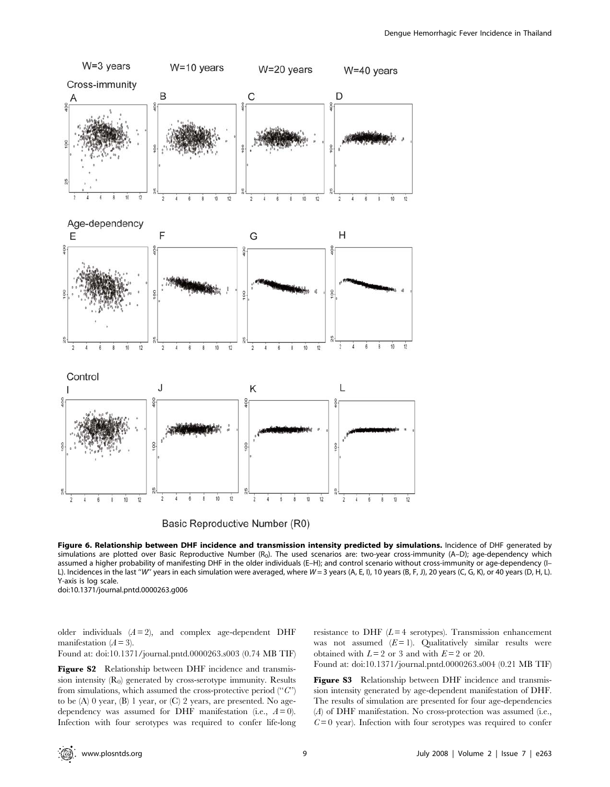



Figure 6. Relationship between DHF incidence and transmission intensity predicted by simulations. Incidence of DHF generated by simulations are plotted over Basic Reproductive Number  $(R_0)$ . The used scenarios are: two-year cross-immunity (A–D); age-dependency which assumed a higher probability of manifesting DHF in the older individuals (E–H); and control scenario without cross-immunity or age-dependency (I– L). Incidences in the last "W" years in each simulation were averaged, where W = 3 years (A, E, I), 10 years (B, F, J), 20 years (C, G, K), or 40 years (D, H, L). Y-axis is log scale.

doi:10.1371/journal.pntd.0000263.g006

older individuals  $(A = 2)$ , and complex age-dependent DHF manifestation  $(A = 3)$ .

Found at: doi:10.1371/journal.pntd.0000263.s003 (0.74 MB TIF)

Figure S2 Relationship between DHF incidence and transmission intensity  $(R_0)$  generated by cross-serotype immunity. Results from simulations, which assumed the cross-protective period  $(^\alpha C^\gamma)$ to be (A) 0 year, (B) 1 year, or (C) 2 years, are presented. No agedependency was assumed for DHF manifestation (i.e.,  $A = 0$ ). Infection with four serotypes was required to confer life-long resistance to DHF  $(L=4$  serotypes). Transmission enhancement was not assumed  $(E=1)$ . Qualitatively similar results were obtained with  $L = 2$  or 3 and with  $E = 2$  or 20.

Found at: doi:10.1371/journal.pntd.0000263.s004 (0.21 MB TIF)

Figure S3 Relationship between DHF incidence and transmission intensity generated by age-dependent manifestation of DHF. The results of simulation are presented for four age-dependencies (A) of DHF manifestation. No cross-protection was assumed (i.e.,  $C = 0$  year). Infection with four serotypes was required to confer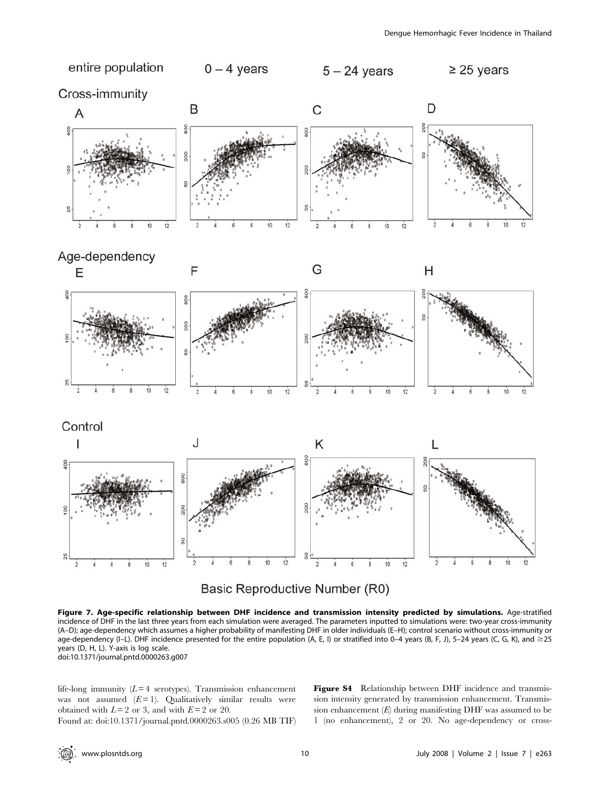



Figure 7. Age-specific relationship between DHF incidence and transmission intensity predicted by simulations. Age-stratified incidence of DHF in the last three years from each simulation were averaged. The parameters inputted to simulations were: two-year cross-immunity (A–D); age-dependency which assumes a higher probability of manifesting DHF in older individuals (E–H); control scenario without cross-immunity or age-dependency (I–L). DHF incidence presented for the entire population (A, E, I) or stratified into 0–4 years (B, F, J), 5–24 years (C, G, K), and  $\geq$ 25 years (D, H, L). Y-axis is log scale. doi:10.1371/journal.pntd.0000263.g007

life-long immunity  $(L = 4$  serotypes). Transmission enhancement was not assumed  $(E = 1)$ . Qualitatively similar results were obtained with  $L = 2$  or 3, and with  $E = 2$  or 20.

Found at: doi:10.1371/journal.pntd.0000263.s005 (0.26 MB TIF)

Figure S4 Relationship between DHF incidence and transmission intensity generated by transmission enhancement. Transmission enhancement  $(E)$  during manifesting DHF was assumed to be 1 (no enhancement), 2 or 20. No age-dependency or cross-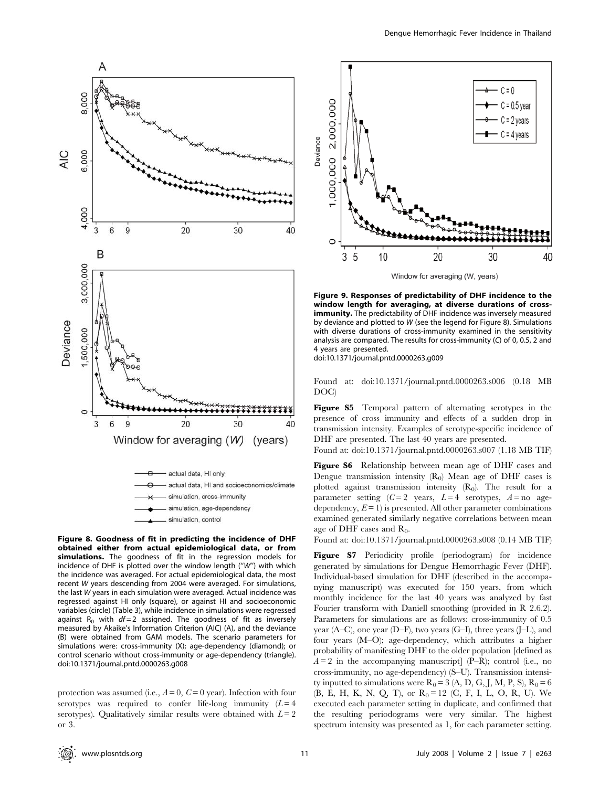

Figure 8. Goodness of fit in predicting the incidence of DHF obtained either from actual epidemiological data, or from simulations. The goodness of fit in the regression models for incidence of DHF is plotted over the window length (''W'') with which the incidence was averaged. For actual epidemiological data, the most recent W years descending from 2004 were averaged. For simulations, the last W years in each simulation were averaged. Actual incidence was regressed against HI only (square), or against HI and socioeconomic variables (circle) (Table 3), while incidence in simulations were regressed against R<sub>0</sub> with  $df = 2$  assigned. The goodness of fit as inversely measured by Akaike's Information Criterion (AIC) (A), and the deviance (B) were obtained from GAM models. The scenario parameters for simulations were: cross-immunity (X); age-dependency (diamond); or control scenario without cross-immunity or age-dependency (triangle). doi:10.1371/journal.pntd.0000263.g008

protection was assumed (i.e.,  $A = 0$ ,  $C = 0$  year). Infection with four serotypes was required to confer life-long immunity  $(L=4)$ serotypes). Qualitatively similar results were obtained with  $L = 2$ or 3.



Window for averaging (W, years)

Figure 9. Responses of predictability of DHF incidence to the window length for averaging, at diverse durations of crossimmunity. The predictability of DHF incidence was inversely measured by deviance and plotted to W (see the legend for Figure 8). Simulations with diverse durations of cross-immunity examined in the sensitivity analysis are compared. The results for cross-immunity (C) of 0, 0.5, 2 and 4 years are presented.

doi:10.1371/journal.pntd.0000263.g009

Found at: doi:10.1371/journal.pntd.0000263.s006 (0.18 MB DOC)

Figure S5 Temporal pattern of alternating serotypes in the presence of cross immunity and effects of a sudden drop in transmission intensity. Examples of serotype-specific incidence of DHF are presented. The last 40 years are presented.

Found at: doi:10.1371/journal.pntd.0000263.s007 (1.18 MB TIF)

Figure S6 Relationship between mean age of DHF cases and Dengue transmission intensity  $(R_0)$  Mean age of DHF cases is plotted against transmission intensity  $(R_0)$ . The result for a parameter setting  $(C=2$  years,  $L=4$  serotypes,  $A=$  no agedependency,  $E = 1$ ) is presented. All other parameter combinations examined generated similarly negative correlations between mean age of DHF cases and  $R_0$ .

Found at: doi:10.1371/journal.pntd.0000263.s008 (0.14 MB TIF)

Figure S7 Periodicity profile (periodogram) for incidence generated by simulations for Dengue Hemorrhagic Fever (DHF). Individual-based simulation for DHF (described in the accompanying manuscript) was executed for 150 years, from which monthly incidence for the last 40 years was analyzed by fast Fourier transform with Daniell smoothing (provided in R 2.6.2). Parameters for simulations are as follows: cross-immunity of 0.5 year (A–C), one year (D–F), two years (G–I), three years (J–L), and four years (M–O); age-dependency, which attributes a higher probability of manifesting DHF to the older population [defined as  $A = 2$  in the accompanying manuscript] (P–R); control (i.e., no cross-immunity, no age-dependency) (S–U). Transmission intensity inputted to simulations were  $R_0 = 3$  (A, D, G, J, M, P, S),  $R_0 = 6$ (B, E, H, K, N, Q, T), or  $R_0 = 12$  (C, F, I, L, O, R, U). We executed each parameter setting in duplicate, and confirmed that the resulting periodograms were very similar. The highest spectrum intensity was presented as 1, for each parameter setting.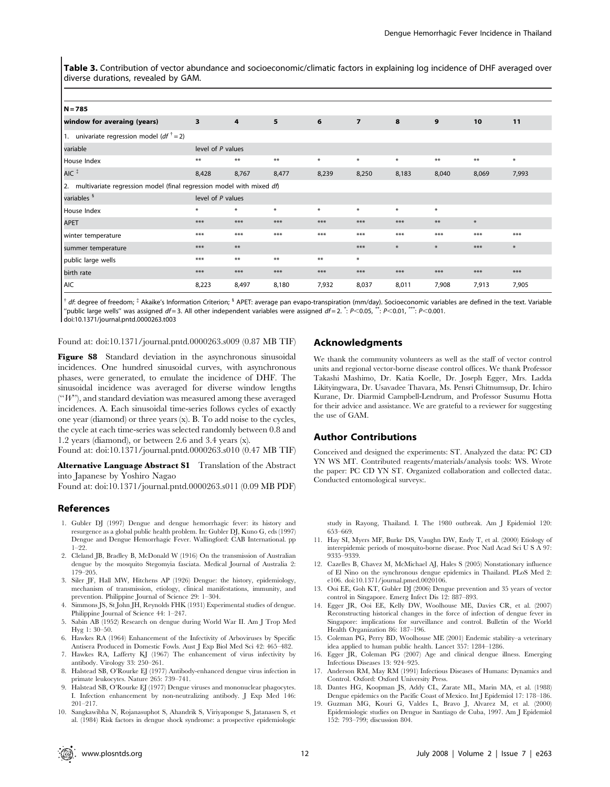Table 3. Contribution of vector abundance and socioeconomic/climatic factors in explaining log incidence of DHF averaged over diverse durations, revealed by GAM.

| $N = 785$                                                               |                         |                |        |        |                |        |        |       |        |
|-------------------------------------------------------------------------|-------------------------|----------------|--------|--------|----------------|--------|--------|-------|--------|
| window for averaing (years)                                             | $\overline{\mathbf{3}}$ | $\overline{4}$ | 5      | 6      | $\overline{7}$ | 8      | 9      | 10    | 11     |
| 1. univariate regression model ( <i>df</i> $\dagger$ = 2)               |                         |                |        |        |                |        |        |       |        |
| variable                                                                | level of P values       |                |        |        |                |        |        |       |        |
| House Index                                                             | $***$                   | $***$          | $***$  | $\ast$ | $*$            | $\ast$ | $***$  | $***$ | $\ast$ |
| AIC <sup>#</sup>                                                        | 8,428                   | 8,767          | 8,477  | 8,239  | 8,250          | 8,183  | 8,040  | 8,069 | 7,993  |
| 2. multivariate regression model (final regression model with mixed df) |                         |                |        |        |                |        |        |       |        |
| variables <sup>§</sup>                                                  | level of P values       |                |        |        |                |        |        |       |        |
| House Index                                                             | $\ast$                  | $\ast$         | $\ast$ | $\ast$ | $\ast$         | $\ast$ | $\ast$ |       |        |
| <b>APET</b>                                                             | $***$                   | $***$          | $***$  | $***$  | $***$          | $***$  | $***$  | $*$   |        |
| winter temperature                                                      | $***$                   | $***$          | $***$  | $***$  | $***$          | $***$  | $***$  | $***$ | $***$  |
| summer temperature                                                      | $***$                   | $***$          |        |        | $***$          | $\ast$ | $\ast$ | $***$ | $\ast$ |
| public large wells                                                      | $***$                   | $***$          | $***$  | $***$  | $\ast$         |        |        |       |        |
| birth rate                                                              | $***$                   | $***$          | $***$  | $***$  | $***$          | $***$  | $***$  | $***$ | $***$  |
| AIC                                                                     | 8,223                   | 8,497          | 8,180  | 7,932  | 8,037          | 8,011  | 7,908  | 7,913 | 7,905  |

df: degree of freedom;  $\frac{1}{4}$  Akaike's Information Criterion;  $\frac{1}{4}$  APET: average pan evapo-transpiration (mm/day). Socioeconomic variables are defined in the text. Variable "public large wells" was assigned  $df = 3$ . All other independent variables were assigned  $df = 2$ .  $\cdot$ : P<0.05,  $\cdot$ \*: P<0.01, \*\*\*: P<0.001. doi:10.1371/journal.pntd.0000263.t003

Found at: doi:10.1371/journal.pntd.0000263.s009 (0.87 MB TIF)

Figure S8 Standard deviation in the asynchronous sinusoidal incidences. One hundred sinusoidal curves, with asynchronous phases, were generated, to emulate the incidence of DHF. The sinusoidal incidence was averaged for diverse window lengths  $($  " $W$ "), and standard deviation was measured among these averaged incidences. A. Each sinusoidal time-series follows cycles of exactly one year (diamond) or three years (x). B. To add noise to the cycles, the cycle at each time-series was selected randomly between 0.8 and 1.2 years (diamond), or between 2.6 and 3.4 years (x).

Found at: doi:10.1371/journal.pntd.0000263.s010 (0.47 MB TIF)

Alternative Language Abstract S1 Translation of the Abstract into Japanese by Yoshiro Nagao

Found at: doi:10.1371/journal.pntd.0000263.s011 (0.09 MB PDF)

## References

- 1. Gubler DJ (1997) Dengue and dengue hemorrhagic fever: its history and resurgence as a global public health problem. In: Gubler DJ, Kuno G, eds (1997) Dengue and Dengue Hemorrhagic Fever. Wallingford: CAB International. pp  $1-99.$
- 2. Cleland JB, Bradley B, McDonald W (1916) On the transmission of Australian dengue by the mosquito Stegomyia fasciata. Medical Journal of Australia 2: 179–205.
- 3. Siler JF, Hall MW, Hitchens AP (1926) Dengue: the history, epidemiology, mechanism of transmission, etiology, clinical manifestations, immunity, and prevention. Philippine Journal of Science 29: 1–304.
- 4. Simmons JS, St John JH, Reynolds FHK (1931) Experimental studies of dengue. Philippine Journal of Science 44: 1–247.
- 5. Sabin AB (1952) Research on dengue during World War II. Am J Trop Med Hyg 1: 30–50.
- 6. Hawkes RA (1964) Enhancement of the Infectivity of Arboviruses by Specific Antisera Produced in Domestic Fowls. Aust J Exp Biol Med Sci 42: 465–482.
- 7. Hawkes RA, Lafferty KJ (1967) The enhancement of virus infectivity by antibody. Virology 33: 250–261.
- 8. Halstead SB, O'Rourke EJ (1977) Antibody-enhanced dengue virus infection in primate leukocytes. Nature 265: 739–741.
- 9. Halstead SB, O'Rourke EJ (1977) Dengue viruses and mononuclear phagocytes. I. Infection enhancement by non-neutralizing antibody. J Exp Med 146: 201–217.
- 10. Sangkawibha N, Rojanasuphot S, Ahandrik S, Viriyapongse S, Jatanasen S, et al. (1984) Risk factors in dengue shock syndrome: a prospective epidemiologic

## Acknowledgments

We thank the community volunteers as well as the staff of vector control units and regional vector-borne disease control offices. We thank Professor Takashi Mashimo, Dr. Katia Koelle, Dr. Joseph Egger, Mrs. Ladda Likityingwara, Dr. Usavadee Thavara, Ms. Pensri Chitnumsup, Dr. Ichiro Kurane, Dr. Diarmid Campbell-Lendrum, and Professor Susumu Hotta for their advice and assistance. We are grateful to a reviewer for suggesting the use of GAM.

#### Author Contributions

Conceived and designed the experiments: ST. Analyzed the data: PC CD YN WS MT. Contributed reagents/materials/analysis tools: WS. Wrote the paper: PC CD YN ST. Organized collaboration and collected data:. Conducted entomological surveys:.

study in Rayong, Thailand. I. The 1980 outbreak. Am J Epidemiol 120: 653–669.

- 11. Hay SI, Myers MF, Burke DS, Vaughn DW, Endy T, et al. (2000) Etiology of interepidemic periods of mosquito-borne disease. Proc Natl Acad Sci U S A 97: 9335–9339.
- 12. Cazelles B, Chavez M, McMichael AJ, Hales S (2005) Nonstationary influence of El Nino on the synchronous dengue epidemics in Thailand. PLoS Med 2: e106. doi:10.1371/journal.pmed.0020106.
- 13. Ooi EE, Goh KT, Gubler DJ (2006) Dengue prevention and 35 years of vector control in Singapore. Emerg Infect Dis 12: 887–893.
- 14. Egger JR, Ooi EE, Kelly DW, Woolhouse ME, Davies CR, et al. (2007) Reconstructing historical changes in the force of infection of dengue fever in Singapore: implications for surveillance and control. Bulletin of the World Health Organization 86: 187–196.
- 15. Coleman PG, Perry BD, Woolhouse ME (2001) Endemic stability–a veterinary idea applied to human public health. Lancet 357: 1284–1286.
- 16. Egger JR, Coleman PG (2007) Age and clinical dengue illness. Emerging Infectious Diseases 13: 924–925.
- 17. Anderson RM, May RM (1991) Infectious Diseases of Humans: Dynamics and Control. Oxford: Oxford University Press.
- 18. Dantes HG, Koopman JS, Addy CL, Zarate ML, Marin MA, et al. (1988) Dengue epidemics on the Pacific Coast of Mexico. Int J Epidemiol 17: 178–186.
- 19. Guzman MG, Kouri G, Valdes L, Bravo J, Alvarez M, et al. (2000) Epidemiologic studies on Dengue in Santiago de Cuba, 1997. Am J Epidemiol 152: 793–799; discussion 804.